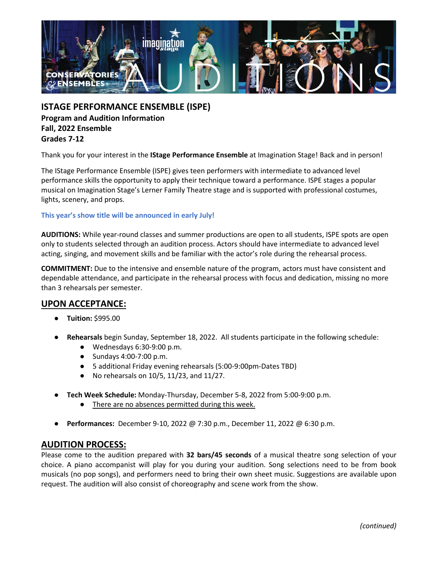

**ISTAGE PERFORMANCE ENSEMBLE (ISPE) Program and Audition Information Fall, 2022 Ensemble Grades 7-12**

Thank you for your interest in the **IStage Performance Ensemble** at Imagination Stage! Back and in person!

The IStage Performance Ensemble (ISPE) gives teen performers with intermediate to advanced level performance skills the opportunity to apply their technique toward a performance. ISPE stages a popular musical on Imagination Stage's Lerner Family Theatre stage and is supported with professional costumes, lights, scenery, and props.

## **This year's show title will be announced in early July!**

**AUDITIONS:** While year-round classes and summer productions are open to all students, ISPE spots are open only to students selected through an audition process. Actors should have intermediate to advanced level acting, singing, and movement skills and be familiar with the actor's role during the rehearsal process.

**COMMITMENT:** Due to the intensive and ensemble nature of the program, actors must have consistent and dependable attendance, and participate in the rehearsal process with focus and dedication, missing no more than 3 rehearsals per semester.

## **UPON ACCEPTANCE:**

- **Tuition:** \$995.00
- **Rehearsals** begin Sunday, September 18, 2022. All students participate in the following schedule:
	- Wednesdays 6:30-9:00 p.m.
	- Sundays 4:00-7:00 p.m.
	- 5 additional Friday evening rehearsals (5:00-9:00pm-Dates TBD)
	- No rehearsals on 10/5, 11/23, and 11/27.
- **Tech Week Schedule:** Monday-Thursday, December 5-8, 2022 from 5:00-9:00 p.m.
	- There are no absences permitted during this week.
- **Performances:** December 9-10, 2022 @ 7:30 p.m., December 11, 2022 @ 6:30 p.m.

## **AUDITION PROCESS:**

Please come to the audition prepared with **32 bars/45 seconds** of a musical theatre song selection of your choice. A piano accompanist will play for you during your audition. Song selections need to be from book musicals (no pop songs), and performers need to bring their own sheet music. Suggestions are available upon request. The audition will also consist of choreography and scene work from the show.